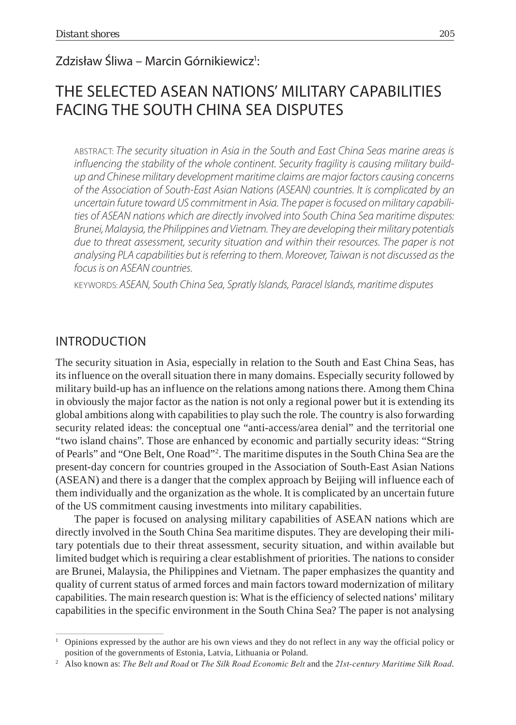# Zdzisław Śliwa – Marcin Górnikiewicz<sup>1</sup>:

# THE SELECTED ASEAN NATIONS' MILITARY CAPABILITIES FACING THE SOUTH CHINA SEA DISPUTES

ABSTRACT: *The security situation in Asia in the South and East China Seas marine areas is influencing the stability of the whole continent. Security fragility is causing military buildup and Chinese military development maritime claims are major factors causing concerns of the Association of South-East Asian Nations (ASEAN) countries. It is complicated by an uncertain future toward US commitment in Asia. The paper is focused on military capabilities of ASEAN nations which are directly involved into South China Sea maritime disputes: Brunei, Malaysia, the Philippines and Vietnam. They are developing their military potentials due to threat assessment, security situation and within their resources. The paper is not analysing PLA capabilities but is referring to them. Moreover, Taiwan is not discussed as the focus is on ASEAN countries.* 

KEYWORDS: *ASEAN, South China Sea, Spratly Islands, Paracel Islands, maritime disputes*

## INTRODUCTION

The security situation in Asia, especially in relation to the South and East China Seas, has its influence on the overall situation there in many domains. Especially security followed by military build-up has an influence on the relations among nations there. Among them China in obviously the major factor as the nation is not only a regional power but it is extending its global ambitions along with capabilities to play such the role. The country is also forwarding security related ideas: the conceptual one "anti-access/area denial" and the territorial one "two island chains". Those are enhanced by economic and partially security ideas: "String of Pearls" and "One Belt, One Road"2 . The maritime disputes in the South China Sea are the present-day concern for countries grouped in the Association of South-East Asian Nations (ASEAN) and there is a danger that the complex approach by Beijing will influence each of them individually and the organization as the whole. It is complicated by an uncertain future of the US commitment causing investments into military capabilities.

The paper is focused on analysing military capabilities of ASEAN nations which are directly involved in the South China Sea maritime disputes. They are developing their military potentials due to their threat assessment, security situation, and within available but limited budget which is requiring a clear establishment of priorities. The nations to consider are Brunei, Malaysia, the Philippines and Vietnam. The paper emphasizes the quantity and quality of current status of armed forces and main factors toward modernization of military capabilities. The main research question is: What is the efficiency of selected nations' military capabilities in the specific environment in the South China Sea? The paper is not analysing

<sup>1</sup> Opinions expressed by the author are his own views and they do not reflect in any way the official policy or position of the governments of Estonia, Latvia, Lithuania or Poland.

Also known as: *The Belt and Road* or *The Silk Road Economic Belt* and the *21st-century Maritime Silk Road*.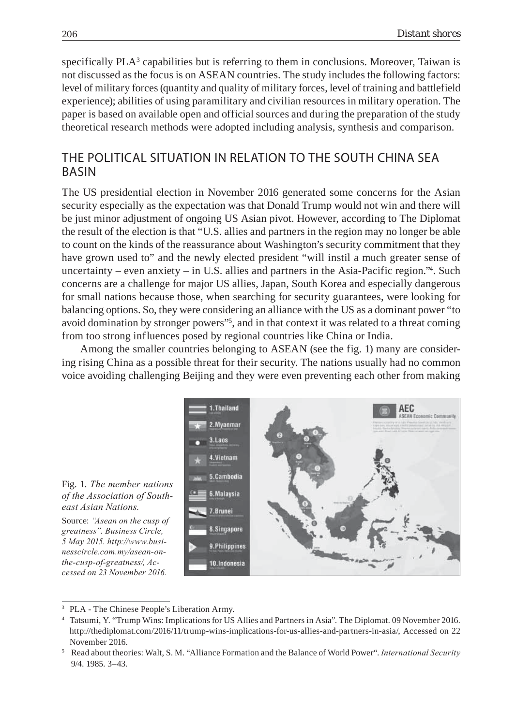specifically  $PLA<sup>3</sup>$  capabilities but is referring to them in conclusions. Moreover, Taiwan is not discussed as the focus is on ASEAN countries. The study includes the following factors: level of military forces (quantity and quality of military forces, level of training and battlefield experience); abilities of using paramilitary and civilian resources in military operation. The paper is based on available open and official sources and during the preparation of the study theoretical research methods were adopted including analysis, synthesis and comparison.

# THE POLITICAL SITUATION IN RELATION TO THE SOUTH CHINA SEA BASIN

The US presidential election in November 2016 generated some concerns for the Asian security especially as the expectation was that Donald Trump would not win and there will be just minor adjustment of ongoing US Asian pivot. However, according to The Diplomat the result of the election is that "U.S. allies and partners in the region may no longer be able to count on the kinds of the reassurance about Washington's security commitment that they have grown used to" and the newly elected president "will instil a much greater sense of uncertainty – even anxiety – in U.S. allies and partners in the Asia-Pacific region."4 . Such concerns are a challenge for major US allies, Japan, South Korea and especially dangerous for small nations because those, when searching for security guarantees, were looking for balancing options. So, they were considering an alliance with the US as a dominant power "to avoid domination by stronger powers"5 , and in that context it was related to a threat coming from too strong influences posed by regional countries like China or India.

Among the smaller countries belonging to ASEAN (see the fig. 1) many are considering rising China as a possible threat for their security. The nations usually had no common voice avoiding challenging Beijing and they were even preventing each other from making





Source: *"Asean on the cusp of greatness". Business Circle, 5 May 2015. http://www.businesscircle.com.my/asean-onthe-cusp-of-greatness/, Accessed on 23 November 2016.*

<sup>&</sup>lt;sup>3</sup> PLA - The Chinese People's Liberation Army.

<sup>4</sup> Tatsumi, Y. "Trump Wins: Implications for US Allies and Partners in Asia". The Diplomat. 09 November 2016. http://thediplomat.com/2016/11/trump-wins-implications-for-us-allies-and-partners-in-asia/, Accessed on 22 November 2016.

<sup>5</sup> Read about theories: Walt, S. M. "Alliance Formation and the Balance of World Power". *International Security* 9/4. 1985. 3–43.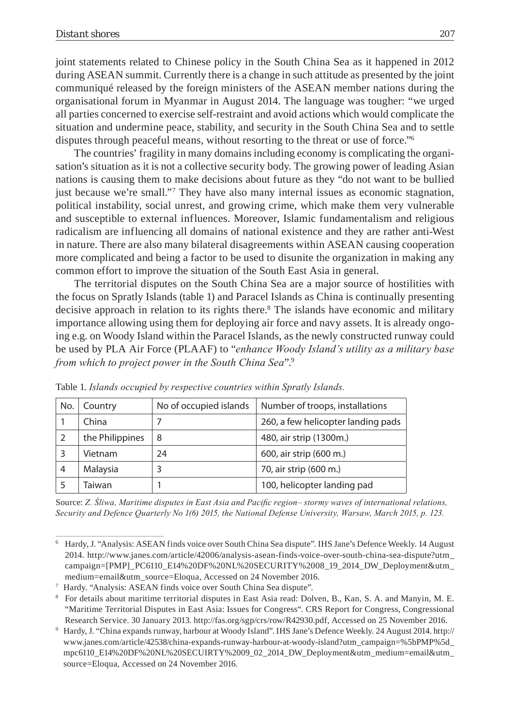joint statements related to Chinese policy in the South China Sea as it happened in 2012 during ASEAN summit. Currently there is a change in such attitude as presented by the joint communiqué released by the foreign ministers of the ASEAN member nations during the organisational forum in Myanmar in August 2014. The language was tougher: "we urged all parties concerned to exercise self-restraint and avoid actions which would complicate the situation and undermine peace, stability, and security in the South China Sea and to settle disputes through peaceful means, without resorting to the threat or use of force."6

The countries' fragility in many domains including economy is complicating the organisation's situation as it is not a collective security body. The growing power of leading Asian nations is causing them to make decisions about future as they "do not want to be bullied just because we're small."7 They have also many internal issues as economic stagnation, political instability, social unrest, and growing crime, which make them very vulnerable and susceptible to external influences. Moreover, Islamic fundamentalism and religious radicalism are influencing all domains of national existence and they are rather anti-West in nature. There are also many bilateral disagreements within ASEAN causing cooperation more complicated and being a factor to be used to disunite the organization in making any common effort to improve the situation of the South East Asia in general.

The territorial disputes on the South China Sea are a major source of hostilities with the focus on Spratly Islands (table 1) and Paracel Islands as China is continually presenting decisive approach in relation to its rights there.<sup>8</sup> The islands have economic and military importance allowing using them for deploying air force and navy assets. It is already ongoing e.g. on Woody Island within the Paracel Islands, as the newly constructed runway could be used by PLA Air Force (PLAAF) to "*enhance Woody Island's utility as a military base from which to project power in the South China Sea*".9

| No. | Country         | No of occupied islands | Number of troops, installations    |
|-----|-----------------|------------------------|------------------------------------|
|     | China           |                        | 260, a few helicopter landing pads |
|     | the Philippines | 8                      | 480, air strip (1300m.)            |
|     | Vietnam         | 24                     | 600, air strip (600 m.)            |
| 4   | Malaysia        |                        | 70, air strip (600 m.)             |
|     | Taiwan          |                        | 100, helicopter landing pad        |

Table 1. *Islands occupied by respective countries within Spratly Islands.*

Source: *Z. Śliwa, Maritime disputes in East Asia and Pacific region– stormy waves of international relations, Security and Defence Quarterly No 1(6) 2015, the National Defense University, Warsaw, March 2015, p. 123.*

<sup>6</sup> Hardy, J. "Analysis: ASEAN finds voice over South China Sea dispute". IHS Jane's Defence Weekly. 14 August 2014. http://www.janes.com/article/42006/analysis-asean-finds-voice-over-south-china-sea-dispute?utm\_ campaign=[PMP]\_PC6110\_E14%20DF%20NL%20SECURITY%2008\_19\_2014\_DW\_Deployment&utm\_ medium=email&utm\_source=Eloqua, Accessed on 24 November 2016.

<sup>7</sup> Hardy. "Analysis: ASEAN finds voice over South China Sea dispute".

<sup>8</sup> For details about maritime territorial disputes in East Asia read: Dolven, B., Kan, S. A. and Manyin, M. E. "Maritime Territorial Disputes in East Asia: Issues for Congress". CRS Report for Congress, Congressional Research Service. 30 January 2013. http://fas.org/sgp/crs/row/R42930.pdf, Accessed on 25 November 2016.

<sup>9</sup> Hardy, J. "China expands runway, harbour at Woody Island". IHS Jane's Defence Weekly. 24 August 2014. http:// www.janes.com/article/42538/china-expands-runway-harbour-at-woody-island?utm\_campaign=%5bPMP%5d\_ mpc6110\_E14%20DF%20NL%20SECUIRTY%2009\_02\_2014\_DW\_Deployment&utm\_medium=email&utm\_ source=Eloqua, Accessed on 24 November 2016.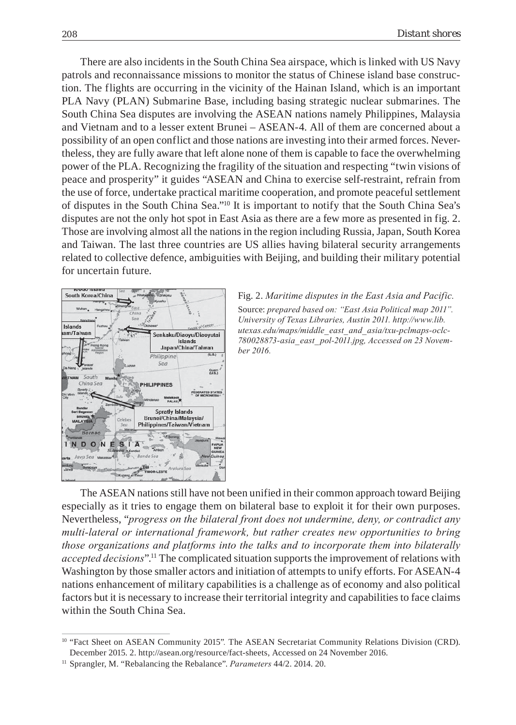There are also incidents in the South China Sea airspace, which is linked with US Navy patrols and reconnaissance missions to monitor the status of Chinese island base construction. The flights are occurring in the vicinity of the Hainan Island, which is an important PLA Navy (PLAN) Submarine Base, including basing strategic nuclear submarines. The South China Sea disputes are involving the ASEAN nations namely Philippines, Malaysia and Vietnam and to a lesser extent Brunei – ASEAN-4. All of them are concerned about a possibility of an open conflict and those nations are investing into their armed forces. Nevertheless, they are fully aware that left alone none of them is capable to face the overwhelming power of the PLA. Recognizing the fragility of the situation and respecting "twin visions of peace and prosperity" it guides "ASEAN and China to exercise self-restraint, refrain from the use of force, undertake practical maritime cooperation, and promote peaceful settlement of disputes in the South China Sea."10 It is important to notify that the South China Sea's disputes are not the only hot spot in East Asia as there are a few more as presented in fig. 2. Those are involving almost all the nations in the region including Russia, Japan, South Korea and Taiwan. The last three countries are US allies having bilateral security arrangements related to collective defence, ambiguities with Beijing, and building their military potential for uncertain future.





The ASEAN nations still have not been unified in their common approach toward Beijing especially as it tries to engage them on bilateral base to exploit it for their own purposes. Nevertheless, "*progress on the bilateral front does not undermine, deny, or contradict any multi-lateral or international framework, but rather creates new opportunities to bring those organizations and platforms into the talks and to incorporate them into bilaterally accepted decisions*".11 The complicated situation supports the improvement of relations with Washington by those smaller actors and initiation of attempts to unify efforts. For ASEAN-4 nations enhancement of military capabilities is a challenge as of economy and also political factors but it is necessary to increase their territorial integrity and capabilities to face claims within the South China Sea.

<sup>&</sup>lt;sup>10</sup> "Fact Sheet on ASEAN Community 2015". The ASEAN Secretariat Community Relations Division (CRD). December 2015. 2. http://asean.org/resource/fact-sheets, Accessed on 24 November 2016.

<sup>11</sup> Sprangler, M. "Rebalancing the Rebalance". *Parameters* 44/2. 2014. 20.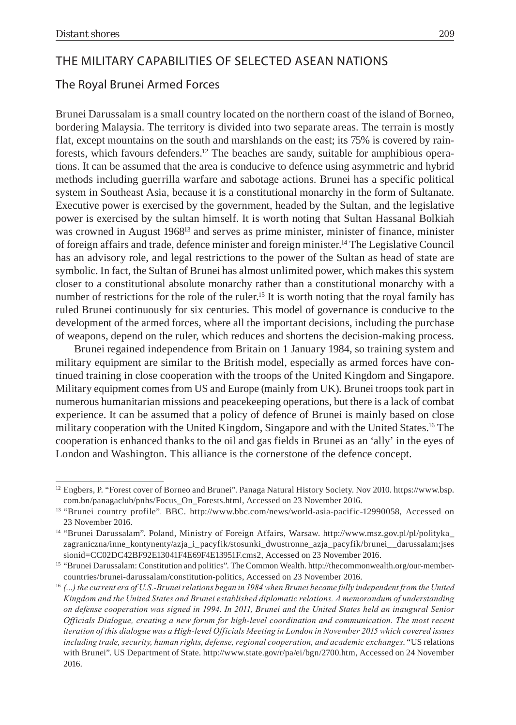# THE MILITARY CAPABILITIES OF SELECTED ASEAN NATIONS

### The Royal Brunei Armed Forces

Brunei Darussalam is a small country located on the northern coast of the island of Borneo, bordering Malaysia. The territory is divided into two separate areas. The terrain is mostly flat, except mountains on the south and marshlands on the east; its 75% is covered by rainforests, which favours defenders.12 The beaches are sandy, suitable for amphibious operations. It can be assumed that the area is conducive to defence using asymmetric and hybrid methods including guerrilla warfare and sabotage actions. Brunei has a specific political system in Southeast Asia, because it is a constitutional monarchy in the form of Sultanate. Executive power is exercised by the government, headed by the Sultan, and the legislative power is exercised by the sultan himself. It is worth noting that Sultan Hassanal Bolkiah was crowned in August 1968<sup>13</sup> and serves as prime minister, minister of finance, minister of foreign affairs and trade, defence minister and foreign minister.14 The Legislative Council has an advisory role, and legal restrictions to the power of the Sultan as head of state are symbolic. In fact, the Sultan of Brunei has almost unlimited power, which makes this system closer to a constitutional absolute monarchy rather than a constitutional monarchy with a number of restrictions for the role of the ruler.<sup>15</sup> It is worth noting that the royal family has ruled Brunei continuously for six centuries. This model of governance is conducive to the development of the armed forces, where all the important decisions, including the purchase of weapons, depend on the ruler, which reduces and shortens the decision-making process.

Brunei regained independence from Britain on 1 January 1984, so training system and military equipment are similar to the British model, especially as armed forces have continued training in close cooperation with the troops of the United Kingdom and Singapore. Military equipment comes from US and Europe (mainly from UK). Brunei troops took part in numerous humanitarian missions and peacekeeping operations, but there is a lack of combat experience. It can be assumed that a policy of defence of Brunei is mainly based on close military cooperation with the United Kingdom, Singapore and with the United States.<sup>16</sup> The cooperation is enhanced thanks to the oil and gas fields in Brunei as an 'ally' in the eyes of London and Washington. This alliance is the cornerstone of the defence concept.

<sup>12</sup> Engbers, P. "Forest cover of Borneo and Brunei". Panaga Natural History Society. Nov 2010. https://www.bsp. com.bn/panagaclub/pnhs/Focus\_On\_Forests.html, Accessed on 23 November 2016.

<sup>&</sup>lt;sup>13</sup> "Brunei country profile". BBC. http://www.bbc.com/news/world-asia-pacific-12990058, Accessed on 23 November 2016.

<sup>14 &</sup>quot;Brunei Darussalam". Poland, Ministry of Foreign Affairs, Warsaw. http://www.msz.gov.pl/pl/polityka\_ zagraniczna/inne\_kontynenty/azja\_i\_pacyfik/stosunki\_dwustronne\_azja\_pacyfik/brunei\_\_darussalam;jses sionid=CC02DC42BF92E13041F4E69F4E13951F.cms2, Accessed on 23 November 2016.

<sup>15 &</sup>quot;Brunei Darussalam: Constitution and politics". The Common Wealth. http://thecommonwealth.org/our-membercountries/brunei-darussalam/constitution-politics, Accessed on 23 November 2016.

<sup>16</sup> *(…) the current era of U.S.-Brunei relations began in 1984 when Brunei became fully independent from the United Kingdom and the United States and Brunei established diplomatic relations. A memorandum of understanding on defense cooperation was signed in 1994. In 2011, Brunei and the United States held an inaugural Senior Officials Dialogue, creating a new forum for high-level coordination and communication. The most recent iteration of this dialogue was a High-level Officials Meeting in London in November 2015 which covered issues including trade, security, human rights, defense, regional cooperation, and academic exchanges*. "US relations with Brunei". US Department of State. http://www.state.gov/r/pa/ei/bgn/2700.htm, Accessed on 24 November 2016.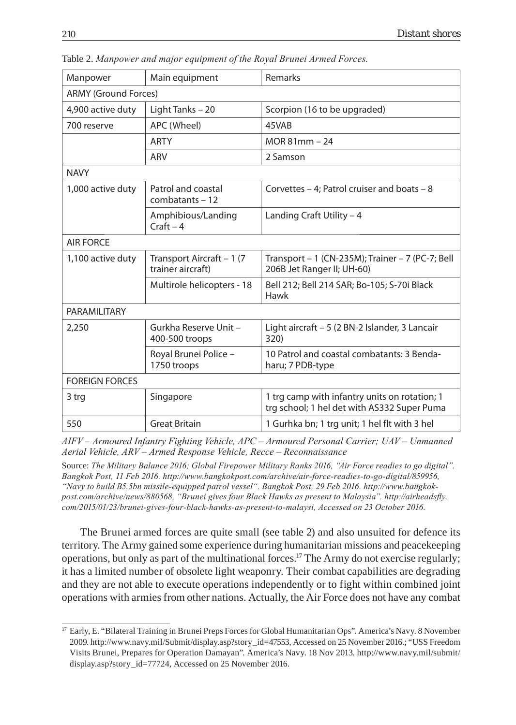| Manpower              | Main equipment                                 | Remarks                                                                                      |  |  |
|-----------------------|------------------------------------------------|----------------------------------------------------------------------------------------------|--|--|
|                       | <b>ARMY (Ground Forces)</b>                    |                                                                                              |  |  |
| 4,900 active duty     | Light Tanks - 20                               | Scorpion (16 to be upgraded)                                                                 |  |  |
| 700 reserve           | APC (Wheel)                                    | 45VAB                                                                                        |  |  |
|                       | <b>ARTY</b>                                    | $MOR 81mm - 24$                                                                              |  |  |
|                       | ARV                                            | 2 Samson                                                                                     |  |  |
| <b>NAVY</b>           |                                                |                                                                                              |  |  |
| 1,000 active duty     | Patrol and coastal<br>combatants - 12          | Corvettes – 4; Patrol cruiser and boats – 8                                                  |  |  |
|                       | Amphibious/Landing<br>$Craft - 4$              | Landing Craft Utility $-4$                                                                   |  |  |
| <b>AIR FORCE</b>      |                                                |                                                                                              |  |  |
| 1,100 active duty     | Transport Aircraft - 1 (7<br>trainer aircraft) | Transport - 1 (CN-235M); Trainer - 7 (PC-7; Bell<br>206B Jet Ranger II; UH-60)               |  |  |
|                       | Multirole helicopters - 18                     | Bell 212; Bell 214 SAR; Bo-105; S-70i Black<br>Hawk                                          |  |  |
| PARAMILITARY          |                                                |                                                                                              |  |  |
| 2,250                 | Gurkha Reserve Unit -<br>400-500 troops        | Light aircraft - 5 (2 BN-2 Islander, 3 Lancair<br>320)                                       |  |  |
|                       | Royal Brunei Police -<br>1750 troops           | 10 Patrol and coastal combatants: 3 Benda-<br>haru; 7 PDB-type                               |  |  |
| <b>FOREIGN FORCES</b> |                                                |                                                                                              |  |  |
| 3 trg                 | Singapore                                      | 1 trg camp with infantry units on rotation; 1<br>trg school; 1 hel det with AS332 Super Puma |  |  |
| 550                   | <b>Great Britain</b>                           | 1 Gurhka bn; 1 trg unit; 1 hel flt with 3 hel                                                |  |  |
|                       |                                                |                                                                                              |  |  |

Table 2. *Manpower and major equipment of the Royal Brunei Armed Forces.*

*AIFV – Armoured Infantry Fighting Vehicle, APC – Armoured Personal Carrier; UAV – Unmanned Aerial Vehicle, ARV – Armed Response Vehicle, Recce – Reconnaissance*

Source: *The Military Balance 2016; Global Firepower Military Ranks 2016, "Air Force readies to go digital". Bangkok Post, 11 Feb 2016. http://www.bangkokpost.com/archive/air-force-readies-to-go-digital/859956, "Navy to build B5.5bn missile-equipped patrol vessel". Bangkok Post, 29 Feb 2016. http://www.bangkok*post.com/archive/news/880568, "Brunei gives four Black Hawks as present to Malaysia". http://airheadsfly. *com/2015/01/23/brunei-gives-four-black-hawks-as-present-to-malaysi, Accessed on 23 October 2016.*

The Brunei armed forces are quite small (see table 2) and also unsuited for defence its territory. The Army gained some experience during humanitarian missions and peacekeeping operations, but only as part of the multinational forces.17 The Army do not exercise regularly; it has a limited number of obsolete light weaponry. Their combat capabilities are degrading and they are not able to execute operations independently or to fight within combined joint operations with armies from other nations. Actually, the Air Force does not have any combat

<sup>17</sup> Early, E. "Bilateral Training in Brunei Preps Forces for Global Humanitarian Ops". America's Navy. 8 November 2009. http://www.navy.mil/Submit/display.asp?story\_id=47553, Accessed on 25 November 2016.; "USS Freedom Visits Brunei, Prepares for Operation Damayan". America's Navy. 18 Nov 2013. http://www.navy.mil/submit/ display.asp?story\_id=77724, Accessed on 25 November 2016.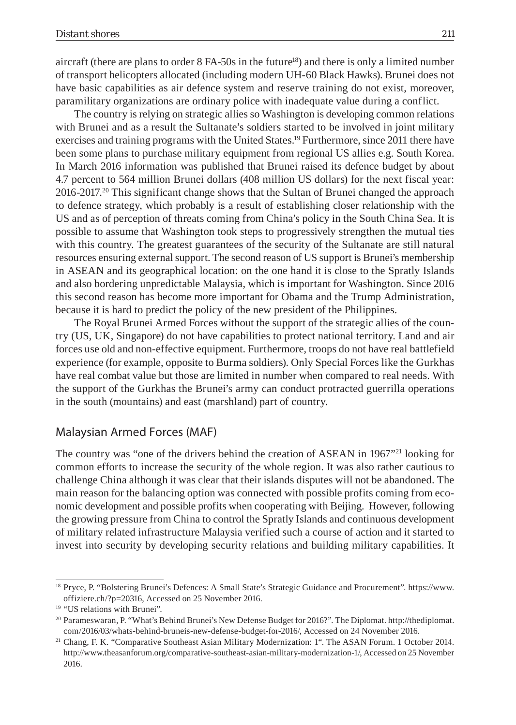aircraft (there are plans to order 8 FA-50s in the future<sup>18</sup>) and there is only a limited number of transport helicopters allocated (including modern UH-60 Black Hawks). Brunei does not have basic capabilities as air defence system and reserve training do not exist, moreover, paramilitary organizations are ordinary police with inadequate value during a conflict.

The country is relying on strategic allies so Washington is developing common relations with Brunei and as a result the Sultanate's soldiers started to be involved in joint military exercises and training programs with the United States.19 Furthermore, since 2011 there have been some plans to purchase military equipment from regional US allies e.g. South Korea. In March 2016 information was published that Brunei raised its defence budget by about 4.7 percent to 564 million Brunei dollars (408 million US dollars) for the next fiscal year: 2016-2017.20 This significant change shows that the Sultan of Brunei changed the approach to defence strategy, which probably is a result of establishing closer relationship with the US and as of perception of threats coming from China's policy in the South China Sea. It is possible to assume that Washington took steps to progressively strengthen the mutual ties with this country. The greatest guarantees of the security of the Sultanate are still natural resources ensuring external support. The second reason of US support is Brunei's membership in ASEAN and its geographical location: on the one hand it is close to the Spratly Islands and also bordering unpredictable Malaysia, which is important for Washington. Since 2016 this second reason has become more important for Obama and the Trump Administration, because it is hard to predict the policy of the new president of the Philippines.

The Royal Brunei Armed Forces without the support of the strategic allies of the country (US, UK, Singapore) do not have capabilities to protect national territory. Land and air forces use old and non-effective equipment. Furthermore, troops do not have real battlefield experience (for example, opposite to Burma soldiers). Only Special Forces like the Gurkhas have real combat value but those are limited in number when compared to real needs. With the support of the Gurkhas the Brunei's army can conduct protracted guerrilla operations in the south (mountains) and east (marshland) part of country.

### Malaysian Armed Forces (MAF)

The country was "one of the drivers behind the creation of ASEAN in 1967"21 looking for common efforts to increase the security of the whole region. It was also rather cautious to challenge China although it was clear that their islands disputes will not be abandoned. The main reason for the balancing option was connected with possible profits coming from economic development and possible profits when cooperating with Beijing. However, following the growing pressure from China to control the Spratly Islands and continuous development of military related infrastructure Malaysia verified such a course of action and it started to invest into security by developing security relations and building military capabilities. It

<sup>18</sup> Pryce, P. "Bolstering Brunei's Defences: A Small State's Strategic Guidance and Procurement". https://www. offiziere.ch/?p=20316, Accessed on 25 November 2016.

<sup>&</sup>lt;sup>19</sup> "US relations with Brunei".

<sup>20</sup> Parameswaran, P. "What's Behind Brunei's New Defense Budget for 2016?". The Diplomat. http://thediplomat. com/2016/03/whats-behind-bruneis-new-defense-budget-for-2016/, Accessed on 24 November 2016.

<sup>&</sup>lt;sup>21</sup> Chang, F. K. "Comparative Southeast Asian Military Modernization: 1". The ASAN Forum. 1 October 2014. http://www.theasanforum.org/comparative-southeast-asian-military-modernization-1/, Accessed on 25 November 2016.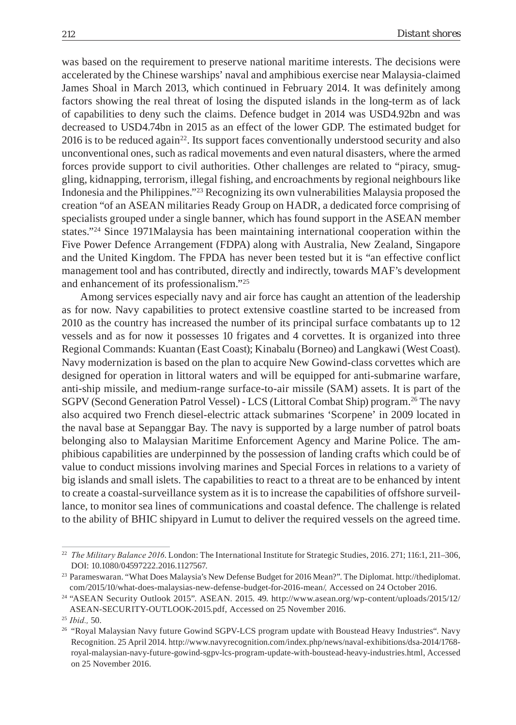was based on the requirement to preserve national maritime interests. The decisions were accelerated by the Chinese warships' naval and amphibious exercise near Malaysia-claimed James Shoal in March 2013, which continued in February 2014. It was definitely among factors showing the real threat of losing the disputed islands in the long-term as of lack of capabilities to deny such the claims. Defence budget in 2014 was USD4.92bn and was decreased to USD4.74bn in 2015 as an effect of the lower GDP. The estimated budget for  $2016$  is to be reduced again<sup>22</sup>. Its support faces conventionally understood security and also unconventional ones, such as radical movements and even natural disasters, where the armed forces provide support to civil authorities. Other challenges are related to "piracy, smuggling, kidnapping, terrorism, illegal fishing, and encroachments by regional neighbours like Indonesia and the Philippines."23 Recognizing its own vulnerabilities Malaysia proposed the creation "of an ASEAN militaries Ready Group on HADR, a dedicated force comprising of specialists grouped under a single banner, which has found support in the ASEAN member states."24 Since 1971Malaysia has been maintaining international cooperation within the Five Power Defence Arrangement (FDPA) along with Australia, New Zealand, Singapore and the United Kingdom. The FPDA has never been tested but it is "an effective conflict management tool and has contributed, directly and indirectly, towards MAF's development and enhancement of its professionalism."25

Among services especially navy and air force has caught an attention of the leadership as for now. Navy capabilities to protect extensive coastline started to be increased from 2010 as the country has increased the number of its principal surface combatants up to 12 vessels and as for now it possesses 10 frigates and 4 corvettes. It is organized into three Regional Commands: Kuantan (East Coast); Kinabalu (Borneo) and Langkawi (West Coast). Navy modernization is based on the plan to acquire New Gowind-class corvettes which are designed for operation in littoral waters and will be equipped for anti-submarine warfare, anti-ship missile, and medium-range surface-to-air missile (SAM) assets. It is part of the SGPV (Second Generation Patrol Vessel) - LCS (Littoral Combat Ship) program.<sup>26</sup> The navy also acquired two French diesel-electric attack submarines 'Scorpene' in 2009 located in the naval base at Sepanggar Bay. The navy is supported by a large number of patrol boats belonging also to Malaysian Maritime Enforcement Agency and Marine Police. The amphibious capabilities are underpinned by the possession of landing crafts which could be of value to conduct missions involving marines and Special Forces in relations to a variety of big islands and small islets. The capabilities to react to a threat are to be enhanced by intent to create a coastal-surveillance system as it is to increase the capabilities of offshore surveillance, to monitor sea lines of communications and coastal defence. The challenge is related to the ability of BHIC shipyard in Lumut to deliver the required vessels on the agreed time.

<sup>22</sup> *The Military Balance 2016*. London: The International Institute for Strategic Studies, 2016. 271; 116:1, 211–306, DOI: 10.1080/04597222.2016.1127567.

<sup>23</sup> Parameswaran. "What Does Malaysia's New Defense Budget for 2016 Mean?". The Diplomat. http://thediplomat. com/2015/10/what-does-malaysias-new-defense-budget-for-2016-mean/*,* Accessed on 24 October 2016.

<sup>24 &</sup>quot;ASEAN Security Outlook 2015". ASEAN. 2015. 49. http://www.asean.org/wp-content/uploads/2015/12/ ASEAN-SECURITY-OUTLOOK-2015.pdf, Accessed on 25 November 2016.

<sup>25</sup> *Ibid.,* 50.

<sup>&</sup>lt;sup>26</sup> "Royal Malaysian Navy future Gowind SGPV-LCS program update with Boustead Heavy Industries". Navy Recognition. 25 April 2014. http://www.navyrecognition.com/index.php/news/naval-exhibitions/dsa-2014/1768 royal-malaysian-navy-future-gowind-sgpv-lcs-program-update-with-boustead-heavy-industries.html, Accessed on 25 November 2016.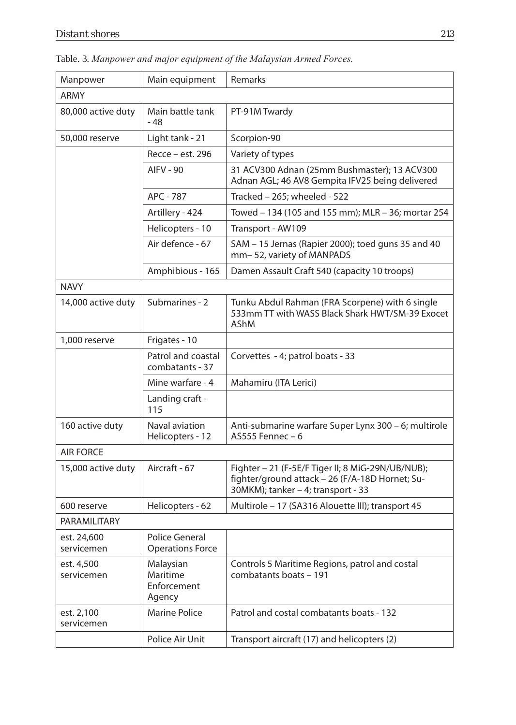| Manpower                  | Main equipment                                   | <b>Remarks</b>                                                                                                                             |  |
|---------------------------|--------------------------------------------------|--------------------------------------------------------------------------------------------------------------------------------------------|--|
| <b>ARMY</b>               |                                                  |                                                                                                                                            |  |
| 80,000 active duty        | Main battle tank<br>$-48$                        | PT-91M Twardy                                                                                                                              |  |
| 50,000 reserve            | Light tank - 21                                  | Scorpion-90                                                                                                                                |  |
|                           | Recce - est. 296                                 | Variety of types                                                                                                                           |  |
|                           | <b>AIFV - 90</b>                                 | 31 ACV300 Adnan (25mm Bushmaster); 13 ACV300<br>Adnan AGL; 46 AV8 Gempita IFV25 being delivered                                            |  |
|                           | APC - 787                                        | Tracked - 265; wheeled - 522                                                                                                               |  |
|                           | Artillery - 424                                  | Towed - 134 (105 and 155 mm); MLR - 36; mortar 254                                                                                         |  |
|                           | Helicopters - 10                                 | Transport - AW109                                                                                                                          |  |
|                           | Air defence - 67                                 | SAM - 15 Jernas (Rapier 2000); toed guns 35 and 40<br>mm-52, variety of MANPADS                                                            |  |
|                           | Amphibious - 165                                 | Damen Assault Craft 540 (capacity 10 troops)                                                                                               |  |
| <b>NAVY</b>               |                                                  |                                                                                                                                            |  |
| 14,000 active duty        | Submarines - 2                                   | Tunku Abdul Rahman (FRA Scorpene) with 6 single<br>533mm TT with WASS Black Shark HWT/SM-39 Exocet<br>AShM                                 |  |
| 1,000 reserve             | Frigates - 10                                    |                                                                                                                                            |  |
|                           | Patrol and coastal<br>combatants - 37            | Corvettes - 4; patrol boats - 33                                                                                                           |  |
|                           | Mine warfare - 4                                 | Mahamiru (ITA Lerici)                                                                                                                      |  |
|                           | Landing craft -<br>115                           |                                                                                                                                            |  |
| 160 active duty           | Naval aviation<br>Helicopters - 12               | Anti-submarine warfare Super Lynx 300 - 6; multirole<br>$A$ S555 Fennec – 6                                                                |  |
| <b>AIR FORCE</b>          |                                                  |                                                                                                                                            |  |
| 15,000 active duty        | Aircraft - 67                                    | Fighter - 21 (F-5E/F Tiger II; 8 MiG-29N/UB/NUB);<br>fighter/ground attack - 26 (F/A-18D Hornet; Su-<br>30MKM); tanker - 4; transport - 33 |  |
| 600 reserve               | Helicopters - 62                                 | Multirole - 17 (SA316 Alouette III); transport 45                                                                                          |  |
| PARAMILITARY              |                                                  |                                                                                                                                            |  |
| est. 24,600<br>servicemen | <b>Police General</b><br><b>Operations Force</b> |                                                                                                                                            |  |
| est. 4,500                | Malaysian                                        | Controls 5 Maritime Regions, patrol and costal                                                                                             |  |

Table. 3. *Manpower and major equipment of the Malaysian Armed Forces.* 

|                           | TICIILUPLEIS - IZ                              | AJJJJI CIIIICL - V                                                                                                                         |
|---------------------------|------------------------------------------------|--------------------------------------------------------------------------------------------------------------------------------------------|
| <b>AIR FORCE</b>          |                                                |                                                                                                                                            |
| 15,000 active duty        | Aircraft - 67                                  | Fighter – 21 (F-5E/F Tiger II; 8 MiG-29N/UB/NUB);<br>fighter/ground attack - 26 (F/A-18D Hornet; Su-<br>30MKM); tanker – 4; transport - 33 |
| 600 reserve               | Helicopters - 62                               | Multirole - 17 (SA316 Alouette III); transport 45                                                                                          |
| PARAMILITARY              |                                                |                                                                                                                                            |
| est. 24,600<br>servicemen | Police General<br><b>Operations Force</b>      |                                                                                                                                            |
| est. 4,500<br>servicemen  | Malaysian<br>Maritime<br>Enforcement<br>Agency | Controls 5 Maritime Regions, patrol and costal<br>combatants boats - 191                                                                   |
| est. 2,100<br>servicemen  | Marine Police                                  | Patrol and costal combatants boats - 132                                                                                                   |
|                           | Police Air Unit                                | Transport aircraft (17) and helicopters (2)                                                                                                |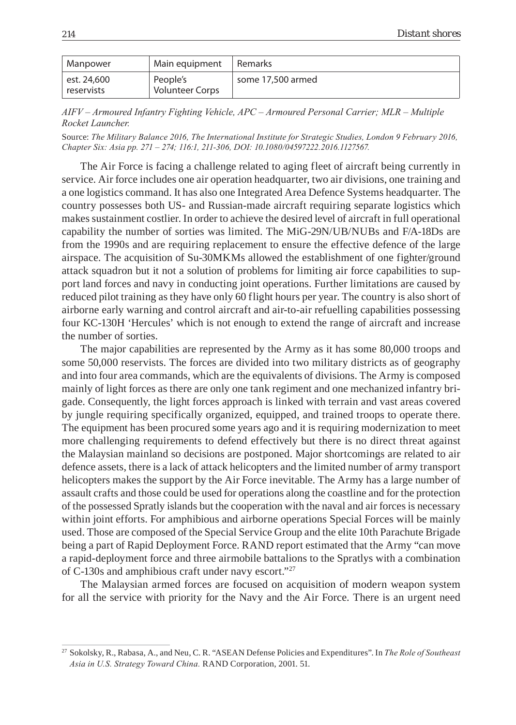| Manpower                    | Main equipment                     | Remarks           |
|-----------------------------|------------------------------------|-------------------|
| est. 24,600<br>' reservists | People's<br><b>Volunteer Corps</b> | some 17.500 armed |

*AIFV – Armoured Infantry Fighting Vehicle, APC – Armoured Personal Carrier; MLR – Multiple Rocket Launcher.*

Source: *The Military Balance 2016, The International Institute for Strategic Studies, London 9 February 2016, Chapter Six: Asia pp. 271 – 274; 116:1, 211-306, DOI: 10.1080/04597222.2016.1127567.* 

The Air Force is facing a challenge related to aging fleet of aircraft being currently in service. Air force includes one air operation headquarter, two air divisions, one training and a one logistics command. It has also one Integrated Area Defence Systems headquarter. The country possesses both US- and Russian-made aircraft requiring separate logistics which makes sustainment costlier. In order to achieve the desired level of aircraft in full operational capability the number of sorties was limited. The MiG-29N/UB/NUBs and F/A-18Ds are from the 1990s and are requiring replacement to ensure the effective defence of the large airspace. The acquisition of Su-30MKMs allowed the establishment of one fighter/ground attack squadron but it not a solution of problems for limiting air force capabilities to support land forces and navy in conducting joint operations. Further limitations are caused by reduced pilot training as they have only 60 flight hours per year. The country is also short of airborne early warning and control aircraft and air-to-air refuelling capabilities possessing four KC-130H 'Hercules' which is not enough to extend the range of aircraft and increase the number of sorties.

The major capabilities are represented by the Army as it has some 80,000 troops and some 50,000 reservists. The forces are divided into two military districts as of geography and into four area commands, which are the equivalents of divisions. The Army is composed mainly of light forces as there are only one tank regiment and one mechanized infantry brigade. Consequently, the light forces approach is linked with terrain and vast areas covered by jungle requiring specifically organized, equipped, and trained troops to operate there. The equipment has been procured some years ago and it is requiring modernization to meet more challenging requirements to defend effectively but there is no direct threat against the Malaysian mainland so decisions are postponed. Major shortcomings are related to air defence assets, there is a lack of attack helicopters and the limited number of army transport helicopters makes the support by the Air Force inevitable. The Army has a large number of assault crafts and those could be used for operations along the coastline and for the protection of the possessed Spratly islands but the cooperation with the naval and air forces is necessary within joint efforts. For amphibious and airborne operations Special Forces will be mainly used. Those are composed of the Special Service Group and the elite 10th Parachute Brigade being a part of Rapid Deployment Force. RAND report estimated that the Army "can move a rapid-deployment force and three airmobile battalions to the Spratlys with a combination of C-130s and amphibious craft under navy escort."27

The Malaysian armed forces are focused on acquisition of modern weapon system for all the service with priority for the Navy and the Air Force. There is an urgent need

<sup>27</sup> Sokolsky, R., Rabasa, A., and Neu, C. R. "ASEAN Defense Policies and Expenditures". In *The Role of Southeast Asia in U.S. Strategy Toward China.* RAND Corporation, 2001. 51.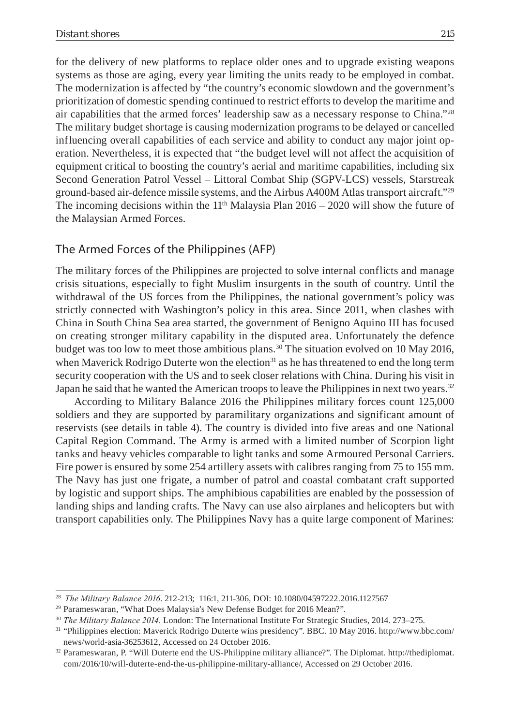for the delivery of new platforms to replace older ones and to upgrade existing weapons systems as those are aging, every year limiting the units ready to be employed in combat. The modernization is affected by "the country's economic slowdown and the government's prioritization of domestic spending continued to restrict efforts to develop the maritime and air capabilities that the armed forces' leadership saw as a necessary response to China."28 The military budget shortage is causing modernization programs to be delayed or cancelled influencing overall capabilities of each service and ability to conduct any major joint operation. Nevertheless, it is expected that "the budget level will not affect the acquisition of equipment critical to boosting the country's aerial and maritime capabilities, including six Second Generation Patrol Vessel – Littoral Combat Ship (SGPV-LCS) vessels, Starstreak ground-based air-defence missile systems, and the Airbus A400M Atlas transport aircraft."29 The incoming decisions within the  $11<sup>th</sup>$  Malaysia Plan 2016 – 2020 will show the future of the Malaysian Armed Forces.

### The Armed Forces of the Philippines (AFP)

The military forces of the Philippines are projected to solve internal conflicts and manage crisis situations, especially to fight Muslim insurgents in the south of country. Until the withdrawal of the US forces from the Philippines, the national government's policy was strictly connected with Washington's policy in this area. Since 2011, when clashes with China in South China Sea area started, the government of Benigno Aquino III has focused on creating stronger military capability in the disputed area. Unfortunately the defence budget was too low to meet those ambitious plans.<sup>30</sup> The situation evolved on 10 May 2016, when Maverick Rodrigo Duterte won the election<sup>31</sup> as he has threatened to end the long term security cooperation with the US and to seek closer relations with China. During his visit in Japan he said that he wanted the American troops to leave the Philippines in next two years.<sup>32</sup>

According to Military Balance 2016 the Philippines military forces count 125,000 soldiers and they are supported by paramilitary organizations and significant amount of reservists (see details in table 4). The country is divided into five areas and one National Capital Region Command. The Army is armed with a limited number of Scorpion light tanks and heavy vehicles comparable to light tanks and some Armoured Personal Carriers. Fire power is ensured by some 254 artillery assets with calibres ranging from 75 to 155 mm. The Navy has just one frigate, a number of patrol and coastal combatant craft supported by logistic and support ships. The amphibious capabilities are enabled by the possession of landing ships and landing crafts. The Navy can use also airplanes and helicopters but with transport capabilities only. The Philippines Navy has a quite large component of Marines:

<sup>&</sup>lt;sup>28</sup> *The Military Balance 2016*. 212-213; 116:1, 211-306, DOI: 10.1080/04597222.2016.1127567 <sup>29</sup> Parameswaran, "What Does Malaysia's New Defense Budget for 2016 Mean?".

<sup>30</sup> *The Military Balance 2014.* London: The International Institute For Strategic Studies, 2014. 273–275.

<sup>31 &</sup>quot;Philippines election: Maverick Rodrigo Duterte wins presidency". BBC. 10 May 2016. http://www.bbc.com/ news/world-asia-36253612, Accessed on 24 October 2016.

<sup>32</sup> Parameswaran, P. "Will Duterte end the US-Philippine military alliance?". The Diplomat. http://thediplomat. com/2016/10/will-duterte-end-the-us-philippine-military-alliance/, Accessed on 29 October 2016.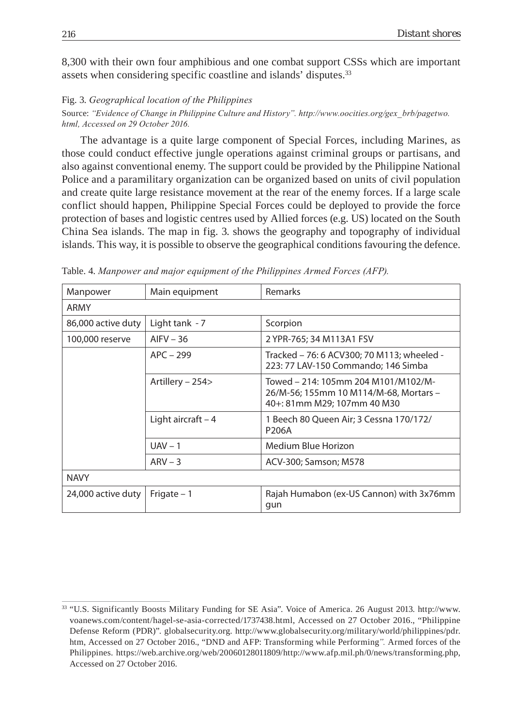8,300 with their own four amphibious and one combat support CSSs which are important assets when considering specific coastline and islands' disputes.<sup>33</sup>

#### Fig. 3. *Geographical location of the Philippines*

Source: *"Evidence of Change in Philippine Culture and History". http://www.oocities.org/gex\_brb/pagetwo. html, Accessed on 29 October 2016.*

The advantage is a quite large component of Special Forces, including Marines, as those could conduct effective jungle operations against criminal groups or partisans, and also against conventional enemy. The support could be provided by the Philippine National Police and a paramilitary organization can be organized based on units of civil population and create quite large resistance movement at the rear of the enemy forces. If a large scale conflict should happen, Philippine Special Forces could be deployed to provide the force protection of bases and logistic centres used by Allied forces (e.g. US) located on the South China Sea islands. The map in fig. 3. shows the geography and topography of individual islands. This way, it is possible to observe the geographical conditions favouring the defence.

| Manpower           | Main equipment      | Remarks                                                                                                      |  |
|--------------------|---------------------|--------------------------------------------------------------------------------------------------------------|--|
| ARMY               |                     |                                                                                                              |  |
| 86,000 active duty | Light tank $-7$     | Scorpion                                                                                                     |  |
| 100,000 reserve    | $AIFV - 36$         | 2 YPR-765; 34 M113A1 FSV                                                                                     |  |
|                    | $APC - 299$         | Tracked - 76: 6 ACV300; 70 M113; wheeled -<br>223: 77 LAV-150 Commando: 146 Simba                            |  |
|                    | Artillery – 254>    | Towed – 214: 105mm 204 M101/M102/M-<br>26/M-56; 155mm 10 M114/M-68, Mortars -<br>40+: 81mm M29; 107mm 40 M30 |  |
|                    | Light aircraft $-4$ | 1 Beech 80 Queen Air; 3 Cessna 170/172/<br>P206A                                                             |  |
|                    | $UAV - 1$           | Medium Blue Horizon                                                                                          |  |
|                    | $ARV - 3$           | ACV-300; Samson; M578                                                                                        |  |
| <b>NAVY</b>        |                     |                                                                                                              |  |
| 24,000 active duty | Frigate $-1$        | Rajah Humabon (ex-US Cannon) with 3x76mm<br>qun                                                              |  |

Table. 4. *Manpower and major equipment of the Philippines Armed Forces (AFP).* 

<sup>33 &</sup>quot;U.S. Significantly Boosts Military Funding for SE Asia". Voice of America. 26 August 2013. http://www. voanews.com/content/hagel-se-asia-corrected/1737438.html, Accessed on 27 October 2016., "Philippine Defense Reform (PDR)". globalsecurity.org. http://www.globalsecurity.org/military/world/philippines/pdr. htm, Accessed on 27 October 2016., "DND and AFP: Transforming while Performing*".* Armed forces of the Philippines. https://web.archive.org/web/20060128011809/http://www.afp.mil.ph/0/news/transforming.php, Accessed on 27 October 2016.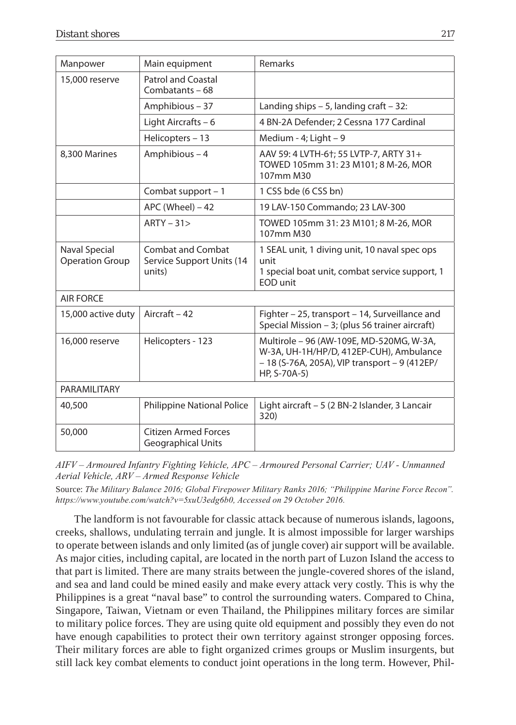| Manpower                                | Main equipment                                                  | Remarks                                                                                                                                                |  |
|-----------------------------------------|-----------------------------------------------------------------|--------------------------------------------------------------------------------------------------------------------------------------------------------|--|
| 15,000 reserve                          | <b>Patrol and Coastal</b><br>Combatants - 68                    |                                                                                                                                                        |  |
|                                         | Amphibious - 37                                                 | Landing ships $-5$ , landing craft $-32$ :                                                                                                             |  |
|                                         | Light Aircrafts - 6                                             | 4 BN-2A Defender; 2 Cessna 177 Cardinal                                                                                                                |  |
|                                         | Helicopters - 13                                                | Medium - 4; Light - 9                                                                                                                                  |  |
| 8,300 Marines                           | Amphibious - 4                                                  | AAV 59: 4 LVTH-6†; 55 LVTP-7, ARTY 31+<br>TOWED 105mm 31: 23 M101; 8 M-26, MOR<br>107mm M30                                                            |  |
|                                         | Combat support $-1$                                             | 1 CSS bde (6 CSS bn)                                                                                                                                   |  |
|                                         | $APC$ (Wheel) $-42$                                             | 19 LAV-150 Commando; 23 LAV-300                                                                                                                        |  |
|                                         | $ARTY - 31$                                                     | TOWED 105mm 31: 23 M101; 8 M-26, MOR<br>107mm M30                                                                                                      |  |
| Naval Special<br><b>Operation Group</b> | <b>Combat and Combat</b><br>Service Support Units (14<br>units) | 1 SEAL unit, 1 diving unit, 10 naval spec ops<br>unit<br>1 special boat unit, combat service support, 1<br>EOD unit                                    |  |
| <b>AIR FORCE</b>                        |                                                                 |                                                                                                                                                        |  |
| 15,000 active duty                      | Aircraft - 42                                                   | Fighter – 25, transport – 14, Surveillance and<br>Special Mission - 3; (plus 56 trainer aircraft)                                                      |  |
| 16,000 reserve                          | Helicopters - 123                                               | Multirole - 96 (AW-109E, MD-520MG, W-3A,<br>W-3A, UH-1H/HP/D, 412EP-CUH), Ambulance<br>$-18$ (S-76A, 205A), VIP transport $-9$ (412EP/<br>HP, S-70A-5) |  |
| PARAMILITARY                            |                                                                 |                                                                                                                                                        |  |
| 40,500                                  | <b>Philippine National Police</b>                               | Light aircraft - 5 (2 BN-2 Islander, 3 Lancair<br>320)                                                                                                 |  |
| 50,000                                  | <b>Citizen Armed Forces</b><br>Geographical Units               |                                                                                                                                                        |  |

*AIFV – Armoured Infantry Fighting Vehicle, APC – Armoured Personal Carrier; UAV - Unmanned Aerial Vehicle, ARV – Armed Response Vehicle*

Source: *The Military Balance 2016; Global Firepower Military Ranks 2016; "Philippine Marine Force Recon". https://www.youtube.com/watch?v=5xuU3edg6b0, Accessed on 29 October 2016.*

The landform is not favourable for classic attack because of numerous islands, lagoons, creeks, shallows, undulating terrain and jungle. It is almost impossible for larger warships to operate between islands and only limited (as of jungle cover) air support will be available. As major cities, including capital, are located in the north part of Luzon Island the access to that part is limited. There are many straits between the jungle-covered shores of the island, and sea and land could be mined easily and make every attack very costly. This is why the Philippines is a great "naval base" to control the surrounding waters. Compared to China, Singapore, Taiwan, Vietnam or even Thailand, the Philippines military forces are similar to military police forces. They are using quite old equipment and possibly they even do not have enough capabilities to protect their own territory against stronger opposing forces. Their military forces are able to fight organized crimes groups or Muslim insurgents, but still lack key combat elements to conduct joint operations in the long term. However, Phil-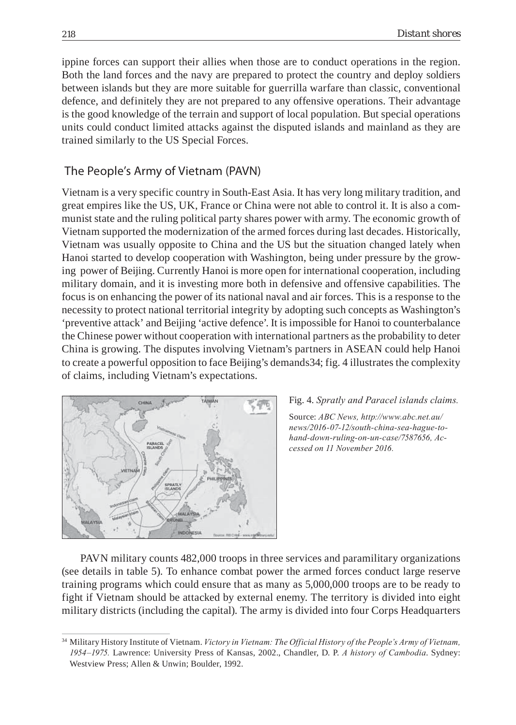ippine forces can support their allies when those are to conduct operations in the region. Both the land forces and the navy are prepared to protect the country and deploy soldiers between islands but they are more suitable for guerrilla warfare than classic, conventional defence, and definitely they are not prepared to any offensive operations. Their advantage is the good knowledge of the terrain and support of local population. But special operations units could conduct limited attacks against the disputed islands and mainland as they are trained similarly to the US Special Forces.

### The People's Army of Vietnam (PAVN)

Vietnam is a very specific country in South-East Asia. It has very long military tradition, and great empires like the US, UK, France or China were not able to control it. It is also a communist state and the ruling political party shares power with army. The economic growth of Vietnam supported the modernization of the armed forces during last decades. Historically, Vietnam was usually opposite to China and the US but the situation changed lately when Hanoi started to develop cooperation with Washington, being under pressure by the growing power of Beijing. Currently Hanoi is more open for international cooperation, including military domain, and it is investing more both in defensive and offensive capabilities. The focus is on enhancing the power of its national naval and air forces. This is a response to the necessity to protect national territorial integrity by adopting such concepts as Washington's 'preventive attack' and Beijing 'active defence'. It is impossible for Hanoi to counterbalance the Chinese power without cooperation with international partners as the probability to deter China is growing. The disputes involving Vietnam's partners in ASEAN could help Hanoi to create a powerful opposition to face Beijing's demands34; fig. 4 illustrates the complexity of claims, including Vietnam's expectations.



#### Fig. 4. *Spratly and Paracel islands claims.*

Source: *ABC News, http://www.abc.net.au/ news/2016-07-12/south-china-sea-hague-tohand-down-ruling-on-un-case/7587656, Accessed on 11 November 2016.*

PAVN military counts 482,000 troops in three services and paramilitary organizations (see details in table 5). To enhance combat power the armed forces conduct large reserve training programs which could ensure that as many as 5,000,000 troops are to be ready to fight if Vietnam should be attacked by external enemy. The territory is divided into eight military districts (including the capital). The army is divided into four Corps Headquarters

<sup>34</sup> Military History Institute of Vietnam. *Victory in Vietnam: The Official History of the People's Army of Vietnam, 1954–1975.* Lawrence: University Press of Kansas, 2002., Chandler, D. P. *A history of Cambodia*. Sydney: Westview Press; Allen & Unwin; Boulder, 1992.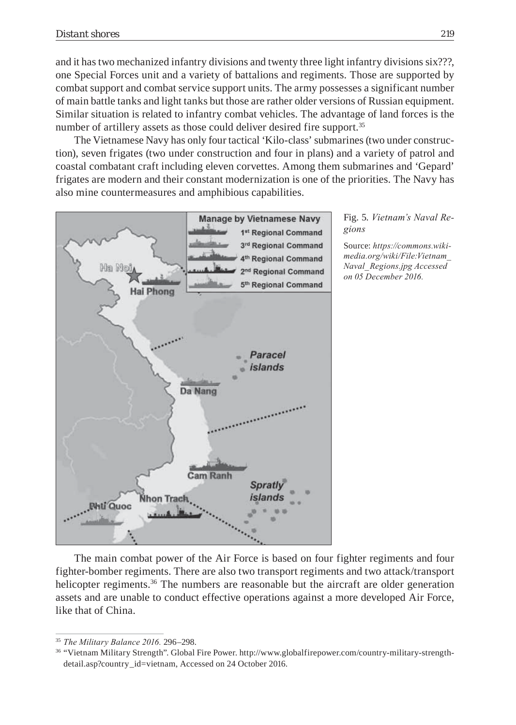and it has two mechanized infantry divisions and twenty three light infantry divisions six???, one Special Forces unit and a variety of battalions and regiments. Those are supported by combat support and combat service support units. The army possesses a significant number of main battle tanks and light tanks but those are rather older versions of Russian equipment. Similar situation is related to infantry combat vehicles. The advantage of land forces is the number of artillery assets as those could deliver desired fire support.<sup>35</sup>

The Vietnamese Navy has only four tactical 'Kilo-class' submarines (two under construction), seven frigates (two under construction and four in plans) and a variety of patrol and coastal combatant craft including eleven corvettes. Among them submarines and 'Gepard' frigates are modern and their constant modernization is one of the priorities. The Navy has also mine countermeasures and amphibious capabilities.



Fig. 5. *Vietnam's Naval Regions*

Source: *https://commons.wikimedia.org/wiki/File:Vietnam\_ Naval\_Regions.jpg Accessed on 05 December 2016.*

The main combat power of the Air Force is based on four fighter regiments and four fighter-bomber regiments. There are also two transport regiments and two attack/transport helicopter regiments.<sup>36</sup> The numbers are reasonable but the aircraft are older generation assets and are unable to conduct effective operations against a more developed Air Force, like that of China.

<sup>35</sup> *The Military Balance 2016.* 296–298.

<sup>36 &</sup>quot;Vietnam Military Strength". Global Fire Power. http://www.globalfirepower.com/country-military-strengthdetail.asp?country\_id=vietnam, Accessed on 24 October 2016.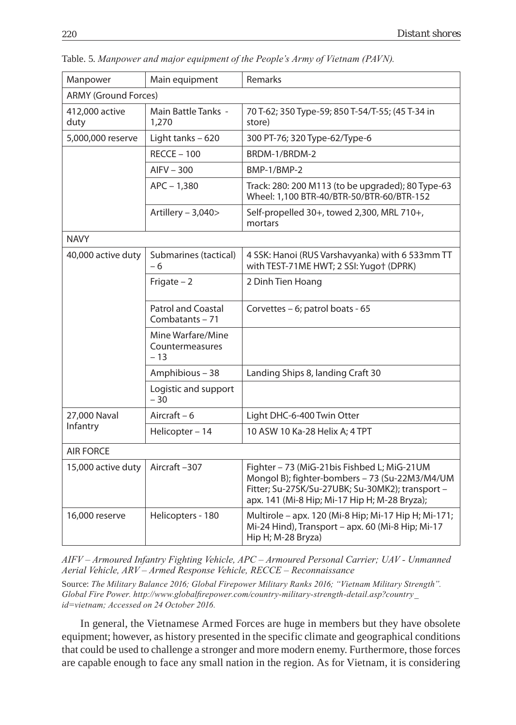| Main equipment                                | Remarks                                                                                                                                                                                            |  |  |  |
|-----------------------------------------------|----------------------------------------------------------------------------------------------------------------------------------------------------------------------------------------------------|--|--|--|
| <b>ARMY (Ground Forces)</b>                   |                                                                                                                                                                                                    |  |  |  |
| <b>Main Battle Tanks -</b><br>1,270           | 70 T-62; 350 Type-59; 850 T-54/T-55; (45 T-34 in<br>store)                                                                                                                                         |  |  |  |
| Light tanks - 620                             | 300 PT-76; 320 Type-62/Type-6                                                                                                                                                                      |  |  |  |
| $RECCE - 100$                                 | BRDM-1/BRDM-2                                                                                                                                                                                      |  |  |  |
| $AIFV - 300$                                  | BMP-1/BMP-2                                                                                                                                                                                        |  |  |  |
| $APC - 1,380$                                 | Track: 280: 200 M113 (to be upgraded); 80 Type-63<br>Wheel: 1,100 BTR-40/BTR-50/BTR-60/BTR-152                                                                                                     |  |  |  |
| Artillery - 3,040>                            | Self-propelled 30+, towed 2,300, MRL 710+,<br>mortars                                                                                                                                              |  |  |  |
|                                               |                                                                                                                                                                                                    |  |  |  |
| Submarines (tactical)<br>- 6                  | 4 SSK: Hanoi (RUS Varshavyanka) with 6 533mm TT<br>with TEST-71ME HWT; 2 SSI: Yugot (DPRK)                                                                                                         |  |  |  |
| Frigate $-2$                                  | 2 Dinh Tien Hoang                                                                                                                                                                                  |  |  |  |
| <b>Patrol and Coastal</b><br>Combatants - 71  | Corvettes – 6; patrol boats - 65                                                                                                                                                                   |  |  |  |
| Mine Warfare/Mine<br>Countermeasures<br>$-13$ |                                                                                                                                                                                                    |  |  |  |
| Amphibious - 38                               | Landing Ships 8, landing Craft 30                                                                                                                                                                  |  |  |  |
| Logistic and support<br>$-30$                 |                                                                                                                                                                                                    |  |  |  |
| Aircraft $-6$                                 | Light DHC-6-400 Twin Otter                                                                                                                                                                         |  |  |  |
| Helicopter - 14                               | 10 ASW 10 Ka-28 Helix A; 4 TPT                                                                                                                                                                     |  |  |  |
| <b>AIR FORCE</b>                              |                                                                                                                                                                                                    |  |  |  |
| Aircraft-307                                  | Fighter - 73 (MiG-21bis Fishbed L; MiG-21UM<br>Mongol B); fighter-bombers - 73 (Su-22M3/M4/UM<br>Fitter; Su-27SK/Su-27UBK; Su-30MK2); transport -<br>apx. 141 (Mi-8 Hip; Mi-17 Hip H; M-28 Bryza); |  |  |  |
| Helicopters - 180                             | Multirole - apx. 120 (Mi-8 Hip; Mi-17 Hip H; Mi-171;<br>Mi-24 Hind), Transport - apx. 60 (Mi-8 Hip; Mi-17<br>Hip H; M-28 Bryza)                                                                    |  |  |  |
|                                               |                                                                                                                                                                                                    |  |  |  |

Table. 5. *Manpower and major equipment of the People's Army of Vietnam (PAVN).* 

*AIFV – Armoured Infantry Fighting Vehicle, APC – Armoured Personal Carrier; UAV - Unmanned Aerial Vehicle, ARV – Armed Response Vehicle, RECCE – Reconnaissance*

Source: *The Military Balance 2016; Global Firepower Military Ranks 2016; "Vietnam Military Strength". Global Fire Power. http://www.globalfi repower.com/country-military-strength-detail.asp?country\_ id=vietnam; Accessed on 24 October 2016.*

In general, the Vietnamese Armed Forces are huge in members but they have obsolete equipment; however, as history presented in the specific climate and geographical conditions that could be used to challenge a stronger and more modern enemy. Furthermore, those forces are capable enough to face any small nation in the region. As for Vietnam, it is considering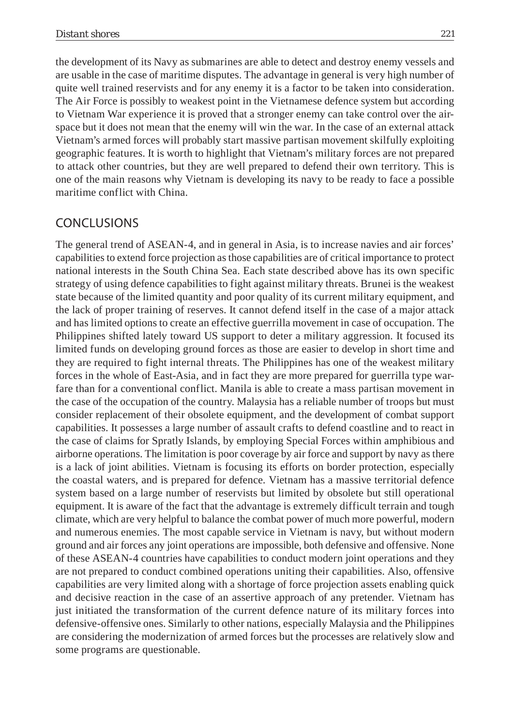the development of its Navy as submarines are able to detect and destroy enemy vessels and are usable in the case of maritime disputes. The advantage in general is very high number of quite well trained reservists and for any enemy it is a factor to be taken into consideration. The Air Force is possibly to weakest point in the Vietnamese defence system but according to Vietnam War experience it is proved that a stronger enemy can take control over the airspace but it does not mean that the enemy will win the war. In the case of an external attack Vietnam's armed forces will probably start massive partisan movement skilfully exploiting geographic features. It is worth to highlight that Vietnam's military forces are not prepared to attack other countries, but they are well prepared to defend their own territory. This is one of the main reasons why Vietnam is developing its navy to be ready to face a possible maritime conflict with China.

# CONCLUSIONS

The general trend of ASEAN-4, and in general in Asia, is to increase navies and air forces' capabilities to extend force projection as those capabilities are of critical importance to protect national interests in the South China Sea. Each state described above has its own specific strategy of using defence capabilities to fight against military threats. Brunei is the weakest state because of the limited quantity and poor quality of its current military equipment, and the lack of proper training of reserves. It cannot defend itself in the case of a major attack and has limited options to create an effective guerrilla movement in case of occupation. The Philippines shifted lately toward US support to deter a military aggression. It focused its limited funds on developing ground forces as those are easier to develop in short time and they are required to fight internal threats. The Philippines has one of the weakest military forces in the whole of East-Asia, and in fact they are more prepared for guerrilla type warfare than for a conventional conflict. Manila is able to create a mass partisan movement in the case of the occupation of the country. Malaysia has a reliable number of troops but must consider replacement of their obsolete equipment, and the development of combat support capabilities. It possesses a large number of assault crafts to defend coastline and to react in the case of claims for Spratly Islands, by employing Special Forces within amphibious and airborne operations. The limitation is poor coverage by air force and support by navy as there is a lack of joint abilities. Vietnam is focusing its efforts on border protection, especially the coastal waters, and is prepared for defence. Vietnam has a massive territorial defence system based on a large number of reservists but limited by obsolete but still operational equipment. It is aware of the fact that the advantage is extremely difficult terrain and tough climate, which are very helpful to balance the combat power of much more powerful, modern and numerous enemies. The most capable service in Vietnam is navy, but without modern ground and air forces any joint operations are impossible, both defensive and offensive. None of these ASEAN-4 countries have capabilities to conduct modern joint operations and they are not prepared to conduct combined operations uniting their capabilities. Also, offensive capabilities are very limited along with a shortage of force projection assets enabling quick and decisive reaction in the case of an assertive approach of any pretender. Vietnam has just initiated the transformation of the current defence nature of its military forces into defensive-offensive ones. Similarly to other nations, especially Malaysia and the Philippines are considering the modernization of armed forces but the processes are relatively slow and some programs are questionable.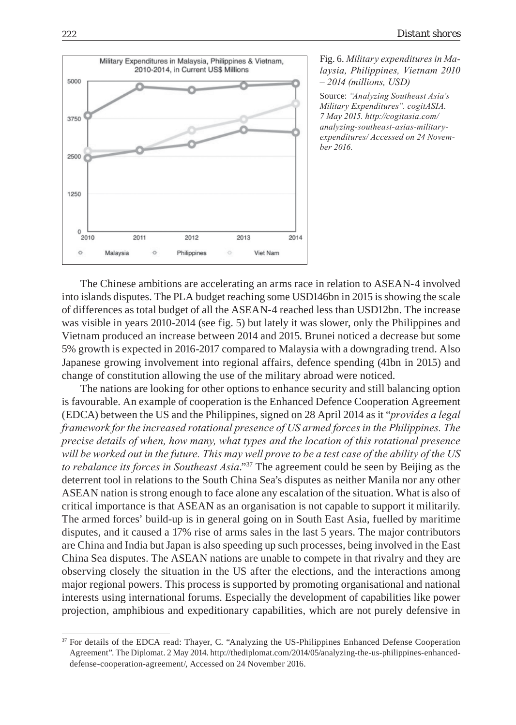

#### Fig. 6. *Military expenditures in Malaysia, Philippines, Vietnam 2010 – 2014 (millions, USD)*

Source: *"Analyzing Southeast Asia's Military Expenditures". cogitASIA. 7 May 2015. http://cogitasia.com/ analyzing-southeast-asias-militaryexpenditures/ Accessed on 24 November 2016.*

The Chinese ambitions are accelerating an arms race in relation to ASEAN-4 involved into islands disputes. The PLA budget reaching some USD146bn in 2015 is showing the scale of differences as total budget of all the ASEAN-4 reached less than USD12bn. The increase was visible in years 2010-2014 (see fig. 5) but lately it was slower, only the Philippines and Vietnam produced an increase between 2014 and 2015. Brunei noticed a decrease but some 5% growth is expected in 2016-2017 compared to Malaysia with a downgrading trend. Also Japanese growing involvement into regional affairs, defence spending (41bn in 2015) and change of constitution allowing the use of the military abroad were noticed.

The nations are looking for other options to enhance security and still balancing option is favourable. An example of cooperation is the Enhanced Defence Cooperation Agreement (EDCA) between the US and the Philippines, signed on 28 April 2014 as it "*provides a legal framework for the increased rotational presence of US armed forces in the Philippines. The precise details of when, how many, what types and the location of this rotational presence will be worked out in the future. This may well prove to be a test case of the ability of the US to rebalance its forces in Southeast Asia*."37 The agreement could be seen by Beijing as the deterrent tool in relations to the South China Sea's disputes as neither Manila nor any other ASEAN nation is strong enough to face alone any escalation of the situation. What is also of critical importance is that ASEAN as an organisation is not capable to support it militarily. The armed forces' build-up is in general going on in South East Asia, fuelled by maritime disputes, and it caused a 17% rise of arms sales in the last 5 years. The major contributors are China and India but Japan is also speeding up such processes, being involved in the East China Sea disputes. The ASEAN nations are unable to compete in that rivalry and they are observing closely the situation in the US after the elections, and the interactions among major regional powers. This process is supported by promoting organisational and national interests using international forums. Especially the development of capabilities like power projection, amphibious and expeditionary capabilities, which are not purely defensive in

<sup>&</sup>lt;sup>37</sup> For details of the EDCA read: Thayer, C. "Analyzing the US-Philippines Enhanced Defense Cooperation Agreement". The Diplomat. 2 May 2014. http://thediplomat.com/2014/05/analyzing-the-us-philippines-enhanceddefense-cooperation-agreement/, Accessed on 24 November 2016.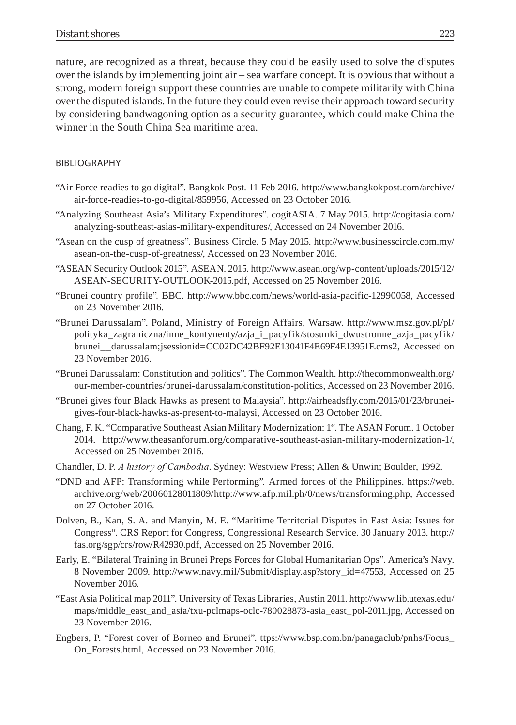nature, are recognized as a threat, because they could be easily used to solve the disputes over the islands by implementing joint air – sea warfare concept. It is obvious that without a strong, modern foreign support these countries are unable to compete militarily with China over the disputed islands. In the future they could even revise their approach toward security by considering bandwagoning option as a security guarantee, which could make China the winner in the South China Sea maritime area.

#### BIBLIOGRAPHY

- "Air Force readies to go digital". Bangkok Post. 11 Feb 2016. http://www.bangkokpost.com/archive/ air-force-readies-to-go-digital/859956, Accessed on 23 October 2016.
- "Analyzing Southeast Asia's Military Expenditures". cogitASIA. 7 May 2015. http://cogitasia.com/ analyzing-southeast-asias-military-expenditures/, Accessed on 24 November 2016.
- "Asean on the cusp of greatness". Business Circle. 5 May 2015. http://www.businesscircle.com.my/ asean-on-the-cusp-of-greatness/, Accessed on 23 November 2016.
- "ASEAN Security Outlook 2015". ASEAN. 2015. http://www.asean.org/wp-content/uploads/2015/12/ ASEAN-SECURITY-OUTLOOK-2015.pdf, Accessed on 25 November 2016.
- "Brunei country profile"*.* BBC. http://www.bbc.com/news/world-asia-pacific-12990058, Accessed on 23 November 2016.
- "Brunei Darussalam". Poland, Ministry of Foreign Affairs, Warsaw. http://www.msz.gov.pl/pl/ polityka\_zagraniczna/inne\_kontynenty/azja\_i\_pacyfik/stosunki\_dwustronne\_azja\_pacyfik/ brunei\_\_darussalam;jsessionid=CC02DC42BF92E13041F4E69F4E13951F.cms2, Accessed on 23 November 2016.
- "Brunei Darussalam: Constitution and politics". The Common Wealth. http://thecommonwealth.org/ our-member-countries/brunei-darussalam/constitution-politics, Accessed on 23 November 2016.
- "Brunei gives four Black Hawks as present to Malaysia". http://airheadsfly.com/2015/01/23/bruneigives-four-black-hawks-as-present-to-malaysi, Accessed on 23 October 2016.
- Chang, F. K. "Comparative Southeast Asian Military Modernization: 1". The ASAN Forum. 1 October 2014. http://www.theasanforum.org/comparative-southeast-asian-military-modernization-1/, Accessed on 25 November 2016.
- Chandler, D. P. *A history of Cambodia*. Sydney: Westview Press; Allen & Unwin; Boulder, 1992.
- "DND and AFP: Transforming while Performing"*.* Armed forces of the Philippines. https://web. archive.org/web/20060128011809/http://www.afp.mil.ph/0/news/transforming.php, Accessed on 27 October 2016.
- Dolven, B., Kan, S. A. and Manyin, M. E. "Maritime Territorial Disputes in East Asia: Issues for Congress". CRS Report for Congress, Congressional Research Service. 30 January 2013. http:// fas.org/sgp/crs/row/R42930.pdf, Accessed on 25 November 2016.
- Early, E. "Bilateral Training in Brunei Preps Forces for Global Humanitarian Ops". America's Navy. 8 November 2009. http://www.navy.mil/Submit/display.asp?story\_id=47553, Accessed on 25 November 2016.
- "East Asia Political map 2011". University of Texas Libraries, Austin 2011. http://www.lib.utexas.edu/ maps/middle\_east\_and\_asia/txu-pclmaps-oclc-780028873-asia\_east\_pol-2011.jpg, Accessed on 23 November 2016.
- Engbers, P. "Forest cover of Borneo and Brunei". ttps://www.bsp.com.bn/panagaclub/pnhs/Focus\_ On\_Forests.html, Accessed on 23 November 2016.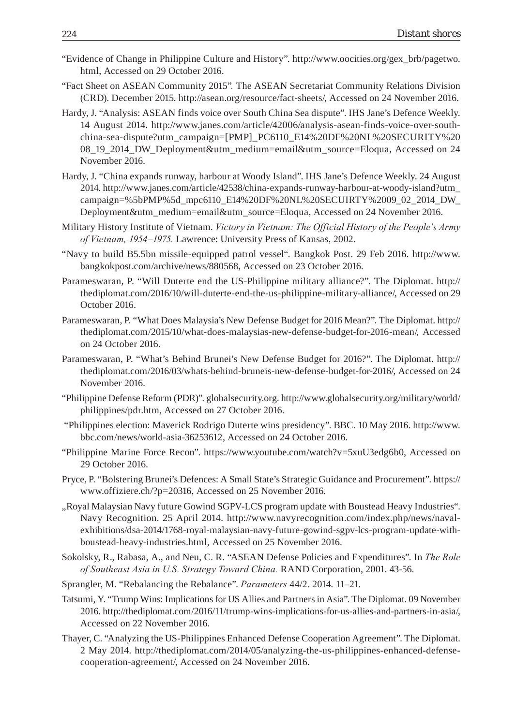- "Evidence of Change in Philippine Culture and History". http://www.oocities.org/gex\_brb/pagetwo. html, Accessed on 29 October 2016.
- "Fact Sheet on ASEAN Community 2015"*.* The ASEAN Secretariat Community Relations Division (CRD). December 2015. http://asean.org/resource/fact-sheets/, Accessed on 24 November 2016.
- Hardy, J. "Analysis: ASEAN finds voice over South China Sea dispute". IHS Jane's Defence Weekly. 14 August 2014. http://www.janes.com/article/42006/analysis-asean-finds-voice-over-southchina-sea-dispute?utm\_campaign=[PMP]\_PC6110\_E14%20DF%20NL%20SECURITY%20 08\_19\_2014\_DW\_Deployment&utm\_medium=email&utm\_source=Eloqua, Accessed on 24 November 2016.
- Hardy, J. "China expands runway, harbour at Woody Island". IHS Jane's Defence Weekly. 24 August 2014. http://www.janes.com/article/42538/china-expands-runway-harbour-at-woody-island?utm\_ campaign=%5bPMP%5d\_mpc6110\_E14%20DF%20NL%20SECUIRTY%2009\_02\_2014\_DW\_ Deployment&utm\_medium=email&utm\_source=Eloqua, Accessed on 24 November 2016.
- Military History Institute of Vietnam. *Victory in Vietnam: The Official History of the People's Army of Vietnam, 1954–1975.* Lawrence: University Press of Kansas, 2002.
- "Navy to build B5.5bn missile-equipped patrol vessel". Bangkok Post. 29 Feb 2016. http://www. bangkokpost.com/archive/news/880568, Accessed on 23 October 2016.
- Parameswaran, P. "Will Duterte end the US-Philippine military alliance?". The Diplomat. http:// thediplomat.com/2016/10/will-duterte-end-the-us-philippine-military-alliance/, Accessed on 29 October 2016.
- Parameswaran, P. "What Does Malaysia's New Defense Budget for 2016 Mean?". The Diplomat. http:// thediplomat.com/2015/10/what-does-malaysias-new-defense-budget-for-2016-mean/*,* Accessed on 24 October 2016.
- Parameswaran, P. "What's Behind Brunei's New Defense Budget for 2016?". The Diplomat. http:// thediplomat.com/2016/03/whats-behind-bruneis-new-defense-budget-for-2016/, Accessed on 24 November 2016.
- "Philippine Defense Reform (PDR)". globalsecurity.org. http://www.globalsecurity.org/military/world/ philippines/pdr.htm, Accessed on 27 October 2016.
- "Philippines election: Maverick Rodrigo Duterte wins presidency". BBC. 10 May 2016. http://www. bbc.com/news/world-asia-36253612, Accessed on 24 October 2016.
- "Philippine Marine Force Recon". https://www.youtube.com/watch?v=5xuU3edg6b0, Accessed on 29 October 2016.
- Pryce, P. "Bolstering Brunei's Defences: A Small State's Strategic Guidance and Procurement". https:// www.offiziere.ch/?p=20316, Accessed on 25 November 2016.
- "Royal Malaysian Navy future Gowind SGPV-LCS program update with Boustead Heavy Industries". Navy Recognition. 25 April 2014. http://www.navyrecognition.com/index.php/news/navalexhibitions/dsa-2014/1768-royal-malaysian-navy-future-gowind-sgpv-lcs-program-update-withboustead-heavy-industries.html, Accessed on 25 November 2016.
- Sokolsky, R., Rabasa, A., and Neu, C. R. "ASEAN Defense Policies and Expenditures". In *The Role of Southeast Asia in U.S. Strategy Toward China.* RAND Corporation, 2001. 43-56.
- Sprangler, M. "Rebalancing the Rebalance". *Parameters* 44/2. 2014. 11–21.
- Tatsumi, Y. "Trump Wins: Implications for US Allies and Partners in Asia". The Diplomat. 09 November 2016. http://thediplomat.com/2016/11/trump-wins-implications-for-us-allies-and-partners-in-asia/, Accessed on 22 November 2016.
- Thayer, C. "Analyzing the US-Philippines Enhanced Defense Cooperation Agreement". The Diplomat. 2 May 2014. http://thediplomat.com/2014/05/analyzing-the-us-philippines-enhanced-defensecooperation-agreement/, Accessed on 24 November 2016.